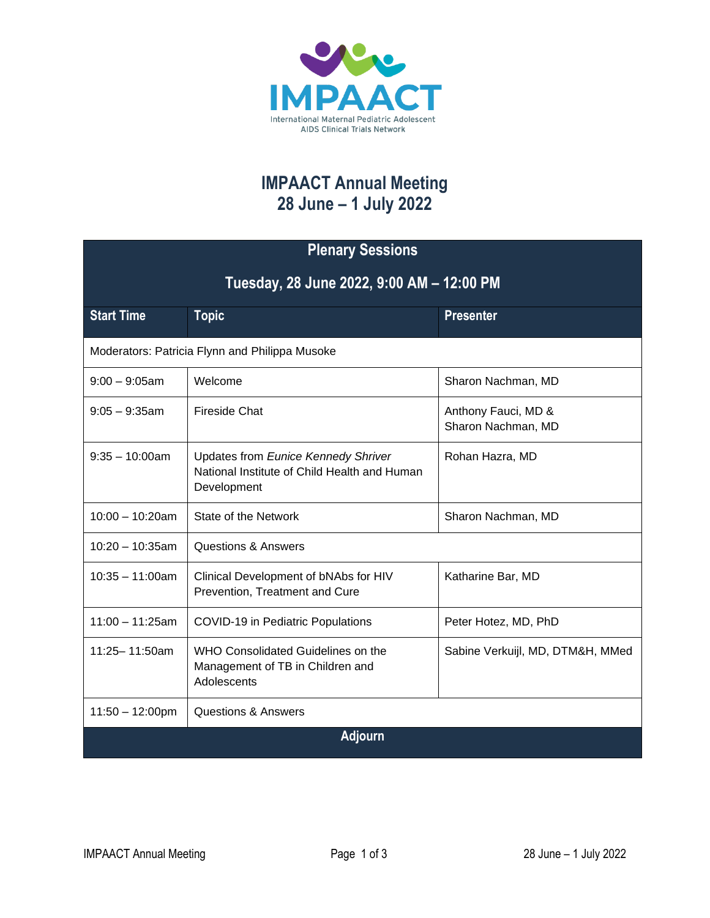

## **IMPAACT Annual Meeting 28 June – 1 July 2022**

| <b>Plenary Sessions</b>                        |                                                                                                    |                                           |  |  |
|------------------------------------------------|----------------------------------------------------------------------------------------------------|-------------------------------------------|--|--|
| Tuesday, 28 June 2022, 9:00 AM - 12:00 PM      |                                                                                                    |                                           |  |  |
| <b>Start Time</b>                              | <b>Topic</b>                                                                                       | <b>Presenter</b>                          |  |  |
| Moderators: Patricia Flynn and Philippa Musoke |                                                                                                    |                                           |  |  |
| $9:00 - 9:05$ am                               | Welcome                                                                                            | Sharon Nachman, MD                        |  |  |
| $9:05 - 9:35$ am                               | <b>Fireside Chat</b>                                                                               | Anthony Fauci, MD &<br>Sharon Nachman, MD |  |  |
| $9:35 - 10:00$ am                              | Updates from Eunice Kennedy Shriver<br>National Institute of Child Health and Human<br>Development | Rohan Hazra, MD                           |  |  |
| $10:00 - 10:20$ am                             | State of the Network                                                                               | Sharon Nachman, MD                        |  |  |
| $10:20 - 10:35am$                              | <b>Questions &amp; Answers</b>                                                                     |                                           |  |  |
| $10:35 - 11:00$ am                             | Clinical Development of bNAbs for HIV<br>Prevention, Treatment and Cure                            | Katharine Bar, MD                         |  |  |
| $11:00 - 11:25am$                              | <b>COVID-19 in Pediatric Populations</b>                                                           | Peter Hotez, MD, PhD                      |  |  |
| 11:25-11:50am                                  | WHO Consolidated Guidelines on the<br>Management of TB in Children and<br>Adolescents              | Sabine Verkuijl, MD, DTM&H, MMed          |  |  |
| $11:50 - 12:00 \text{pm}$                      | <b>Questions &amp; Answers</b>                                                                     |                                           |  |  |
| <b>Adjourn</b>                                 |                                                                                                    |                                           |  |  |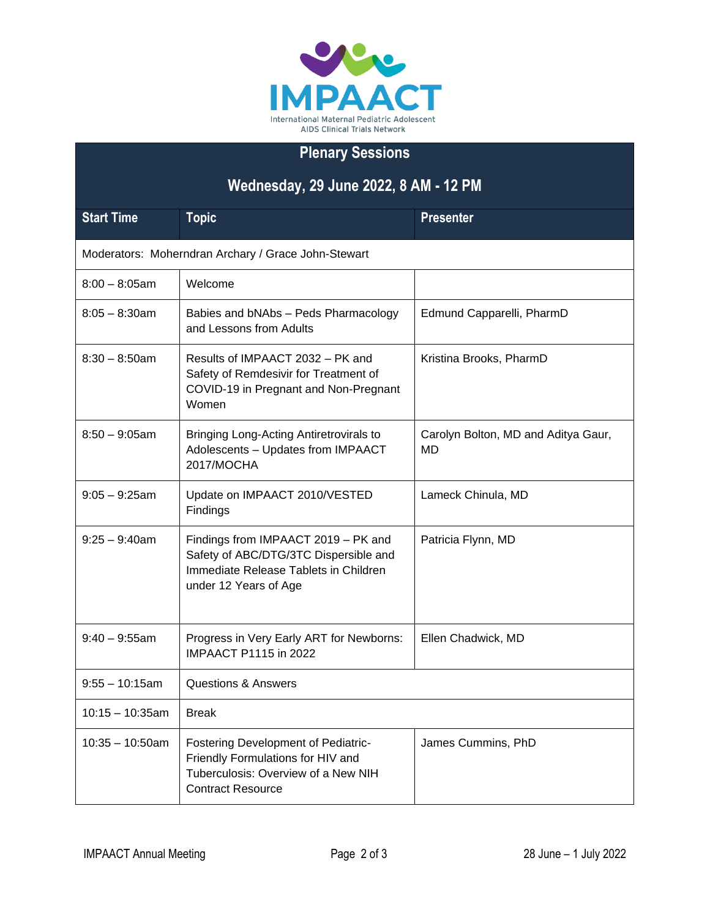

## **Plenary Sessions**

| Wednesday, 29 June 2022, 8 AM - 12 PM               |                                                                                                                                                |                                           |  |  |
|-----------------------------------------------------|------------------------------------------------------------------------------------------------------------------------------------------------|-------------------------------------------|--|--|
| <b>Start Time</b>                                   | <b>Topic</b>                                                                                                                                   | <b>Presenter</b>                          |  |  |
| Moderators: Moherndran Archary / Grace John-Stewart |                                                                                                                                                |                                           |  |  |
| $8:00 - 8:05$ am                                    | Welcome                                                                                                                                        |                                           |  |  |
| $8:05 - 8:30$ am                                    | Babies and bNAbs - Peds Pharmacology<br>and Lessons from Adults                                                                                | Edmund Capparelli, PharmD                 |  |  |
| $8:30 - 8:50$ am                                    | Results of IMPAACT 2032 - PK and<br>Safety of Remdesivir for Treatment of<br>COVID-19 in Pregnant and Non-Pregnant<br>Women                    | Kristina Brooks, PharmD                   |  |  |
| $8:50 - 9:05$ am                                    | <b>Bringing Long-Acting Antiretrovirals to</b><br>Adolescents - Updates from IMPAACT<br>2017/MOCHA                                             | Carolyn Bolton, MD and Aditya Gaur,<br>MD |  |  |
| $9:05 - 9:25$ am                                    | Update on IMPAACT 2010/VESTED<br>Findings                                                                                                      | Lameck Chinula, MD                        |  |  |
| $9:25 - 9:40$ am                                    | Findings from IMPAACT 2019 - PK and<br>Safety of ABC/DTG/3TC Dispersible and<br>Immediate Release Tablets in Children<br>under 12 Years of Age | Patricia Flynn, MD                        |  |  |
| $9:40 - 9:55$ am                                    | Progress in Very Early ART for Newborns:<br><b>IMPAACT P1115 in 2022</b>                                                                       | Ellen Chadwick, MD                        |  |  |
| $9:55 - 10:15$ am                                   | <b>Questions &amp; Answers</b>                                                                                                                 |                                           |  |  |
| $10:15 - 10:35am$                                   | <b>Break</b>                                                                                                                                   |                                           |  |  |
| $10:35 - 10:50$ am                                  | Fostering Development of Pediatric-<br>Friendly Formulations for HIV and<br>Tuberculosis: Overview of a New NIH<br><b>Contract Resource</b>    | James Cummins, PhD                        |  |  |